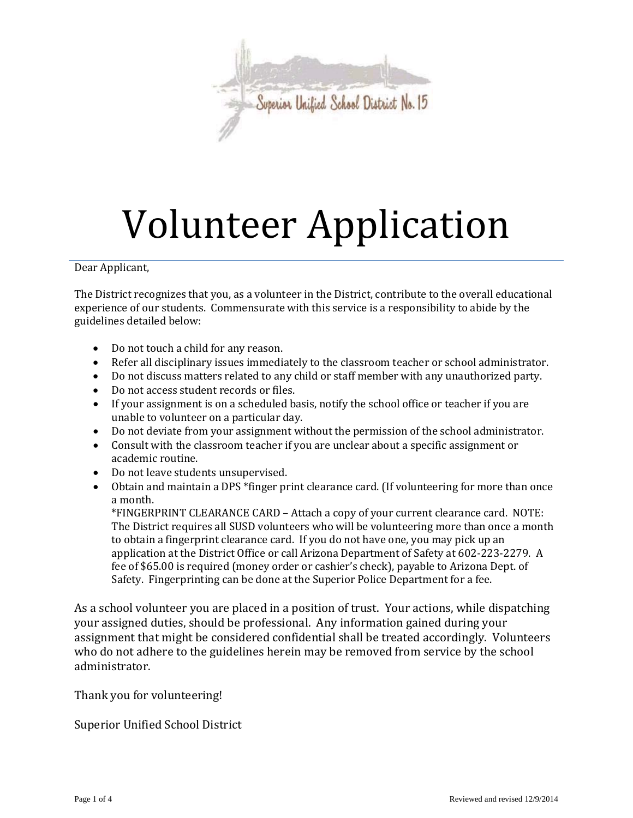

# Volunteer Application

Dear Applicant,

The District recognizes that you, as a volunteer in the District, contribute to the overall educational experience of our students. Commensurate with this service is a responsibility to abide by the guidelines detailed below:

- Do not touch a child for any reason.
- Refer all disciplinary issues immediately to the classroom teacher or school administrator.
- Do not discuss matters related to any child or staff member with any unauthorized party.<br>• Do not access student records or files.
- Do not access student records or files.
- If your assignment is on a scheduled basis, notify the school office or teacher if you are unable to volunteer on a particular day.
- Do not deviate from your assignment without the permission of the school administrator.
- Consult with the classroom teacher if you are unclear about a specific assignment or academic routine.
- Do not leave students unsupervised.
- Obtain and maintain a DPS \*finger print clearance card. (If volunteering for more than once a month.

\*FINGERPRINT CLEARANCE CARD – Attach a copy of your current clearance card. NOTE: The District requires all SUSD volunteers who will be volunteering more than once a month to obtain a fingerprint clearance card. If you do not have one, you may pick up an application at the District Office or call Arizona Department of Safety at 602-223-2279. A fee of \$65.00 is required (money order or cashier's check), payable to Arizona Dept. of Safety. Fingerprinting can be done at the Superior Police Department for a fee.

As a school volunteer you are placed in a position of trust. Your actions, while dispatching your assigned duties, should be professional. Any information gained during your assignment that might be considered confidential shall be treated accordingly. Volunteers who do not adhere to the guidelines herein may be removed from service by the school administrator.

Thank you for volunteering!

Superior Unified School District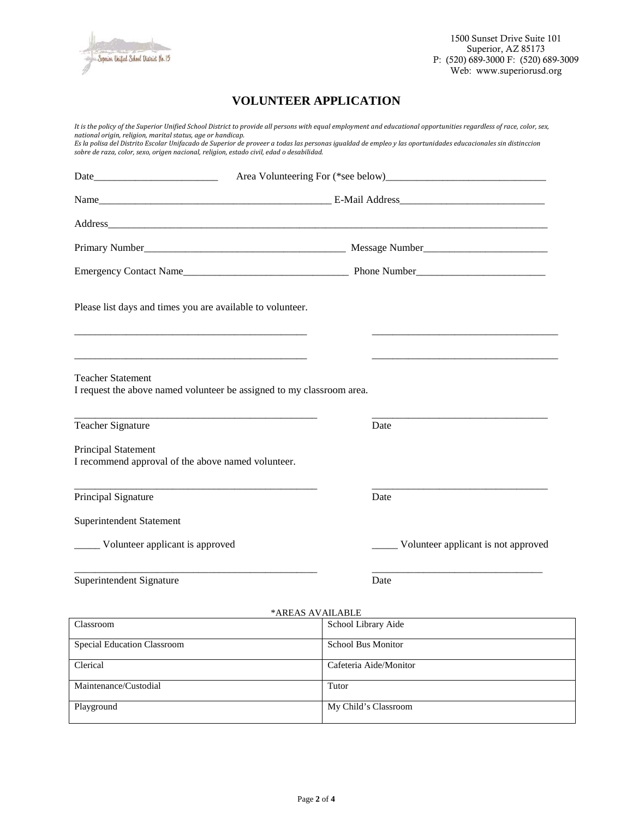

## **VOLUNTEER APPLICATION**

| It is the policy of the Superior Unified School District to provide all persons with equal employment and educational opportunities regardless of race, color, sex,<br>national origin, religion, marital status, age or handicap.<br>Es la polisa del Distrito Escolar Unifacado de Superior de proveer a todas las personas igualdad de empleo y las oportunidades educacionales sin distinccion<br>sobre de raza, color, sexo, origen nacional, religion, estado civil, edad o desabilidad. |                                     |
|------------------------------------------------------------------------------------------------------------------------------------------------------------------------------------------------------------------------------------------------------------------------------------------------------------------------------------------------------------------------------------------------------------------------------------------------------------------------------------------------|-------------------------------------|
|                                                                                                                                                                                                                                                                                                                                                                                                                                                                                                |                                     |
|                                                                                                                                                                                                                                                                                                                                                                                                                                                                                                |                                     |
|                                                                                                                                                                                                                                                                                                                                                                                                                                                                                                |                                     |
|                                                                                                                                                                                                                                                                                                                                                                                                                                                                                                |                                     |
|                                                                                                                                                                                                                                                                                                                                                                                                                                                                                                |                                     |
| Please list days and times you are available to volunteer.                                                                                                                                                                                                                                                                                                                                                                                                                                     |                                     |
| <b>Teacher Statement</b><br>I request the above named volunteer be assigned to my classroom area.                                                                                                                                                                                                                                                                                                                                                                                              |                                     |
| Teacher Signature                                                                                                                                                                                                                                                                                                                                                                                                                                                                              | Date                                |
| Principal Statement<br>I recommend approval of the above named volunteer.                                                                                                                                                                                                                                                                                                                                                                                                                      |                                     |
| Principal Signature                                                                                                                                                                                                                                                                                                                                                                                                                                                                            | Date                                |
| <b>Superintendent Statement</b>                                                                                                                                                                                                                                                                                                                                                                                                                                                                |                                     |
| _______ Volunteer applicant is approved                                                                                                                                                                                                                                                                                                                                                                                                                                                        | Volunteer applicant is not approved |
| Superintendent Signature                                                                                                                                                                                                                                                                                                                                                                                                                                                                       | Date                                |
|                                                                                                                                                                                                                                                                                                                                                                                                                                                                                                | *AREAS AVAILABLE                    |
| Classroom                                                                                                                                                                                                                                                                                                                                                                                                                                                                                      | School Library Aide                 |
| <b>Special Education Classroom</b>                                                                                                                                                                                                                                                                                                                                                                                                                                                             | <b>School Bus Monitor</b>           |
| Clerical                                                                                                                                                                                                                                                                                                                                                                                                                                                                                       | Cafeteria Aide/Monitor              |
| Maintenance/Custodial                                                                                                                                                                                                                                                                                                                                                                                                                                                                          | Tutor                               |
| Playground                                                                                                                                                                                                                                                                                                                                                                                                                                                                                     | My Child's Classroom                |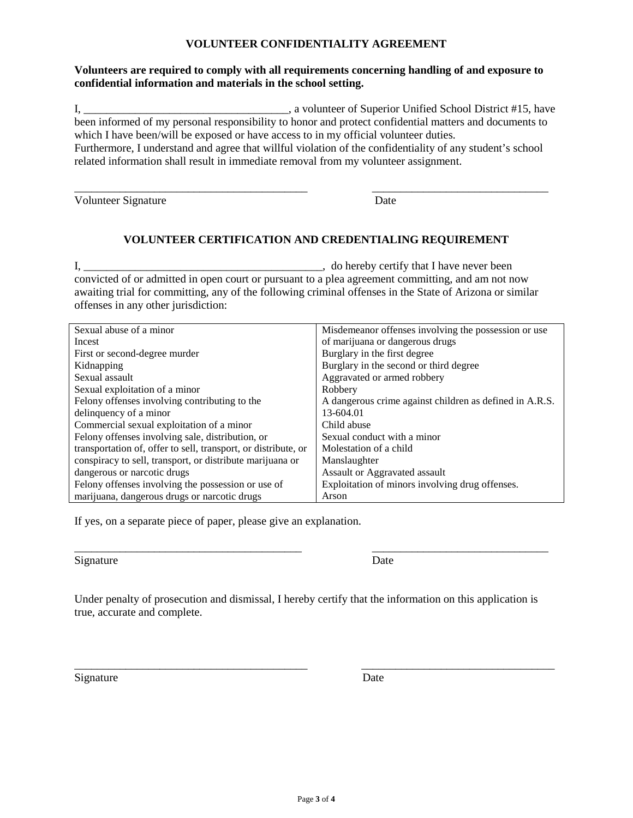#### **VOLUNTEER CONFIDENTIALITY AGREEMENT**

#### **Volunteers are required to comply with all requirements concerning handling of and exposure to confidential information and materials in the school setting.**

I, \_\_\_\_\_\_\_\_\_\_\_\_\_\_\_\_\_\_\_\_\_\_\_\_\_\_\_\_\_\_\_\_\_\_\_\_, a volunteer of Superior Unified School District #15, have been informed of my personal responsibility to honor and protect confidential matters and documents to which I have been/will be exposed or have access to in my official volunteer duties. Furthermore, I understand and agree that willful violation of the confidentiality of any student's school related information shall result in immediate removal from my volunteer assignment.

\_\_\_\_\_\_\_\_\_\_\_\_\_\_\_\_\_\_\_\_\_\_\_\_\_\_\_\_\_\_\_\_\_\_\_\_\_\_\_\_\_ \_\_\_\_\_\_\_\_\_\_\_\_\_\_\_\_\_\_\_\_\_\_\_\_\_\_\_\_\_\_\_

Volunteer Signature Date

#### **VOLUNTEER CERTIFICATION AND CREDENTIALING REQUIREMENT**

I, \_\_\_\_\_\_\_\_\_\_\_\_\_\_\_\_\_\_\_\_\_\_\_\_\_\_\_\_\_\_\_\_\_\_\_\_\_\_\_\_\_\_, do hereby certify that I have never been

convicted of or admitted in open court or pursuant to a plea agreement committing, and am not now awaiting trial for committing, any of the following criminal offenses in the State of Arizona or similar offenses in any other jurisdiction:

| Sexual abuse of a minor                                        | Misdemeanor offenses involving the possession or use    |
|----------------------------------------------------------------|---------------------------------------------------------|
| Incest                                                         | of marijuana or dangerous drugs                         |
| First or second-degree murder                                  | Burglary in the first degree                            |
| Kidnapping                                                     | Burglary in the second or third degree                  |
| Sexual assault                                                 | Aggravated or armed robbery                             |
| Sexual exploitation of a minor                                 | Robbery                                                 |
| Felony offenses involving contributing to the                  | A dangerous crime against children as defined in A.R.S. |
| delinquency of a minor                                         | 13-604.01                                               |
| Commercial sexual exploitation of a minor                      | Child abuse                                             |
| Felony offenses involving sale, distribution, or               | Sexual conduct with a minor                             |
| transportation of, offer to sell, transport, or distribute, or | Molestation of a child                                  |
| conspiracy to sell, transport, or distribute marijuana or      | Manslaughter                                            |
| dangerous or narcotic drugs                                    | Assault or Aggravated assault                           |
| Felony offenses involving the possession or use of             | Exploitation of minors involving drug offenses.         |
| marijuana, dangerous drugs or narcotic drugs                   | Arson                                                   |

If yes, on a separate piece of paper, please give an explanation.

Signature Date

Under penalty of prosecution and dismissal, I hereby certify that the information on this application is true, accurate and complete.

\_\_\_\_\_\_\_\_\_\_\_\_\_\_\_\_\_\_\_\_\_\_\_\_\_\_\_\_\_\_\_\_\_\_\_\_\_\_\_\_\_ \_\_\_\_\_\_\_\_\_\_\_\_\_\_\_\_\_\_\_\_\_\_\_\_\_\_\_\_\_\_\_\_\_\_

\_\_\_\_\_\_\_\_\_\_\_\_\_\_\_\_\_\_\_\_\_\_\_\_\_\_\_\_\_\_\_\_\_\_\_\_\_\_\_\_ \_\_\_\_\_\_\_\_\_\_\_\_\_\_\_\_\_\_\_\_\_\_\_\_\_\_\_\_\_\_\_

Signature Date